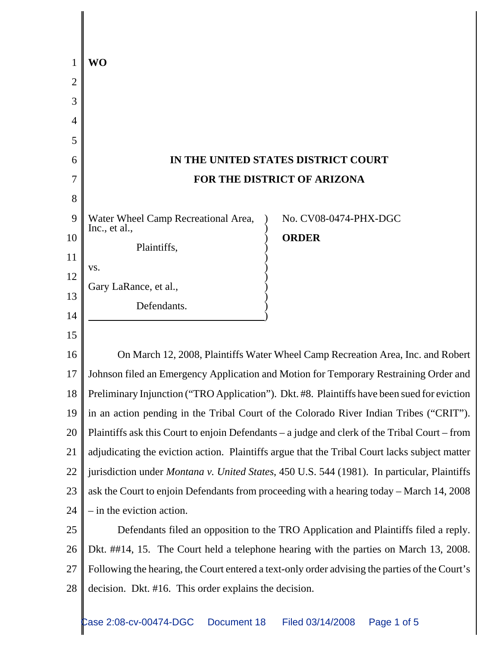|                | WO                                                                                             |
|----------------|------------------------------------------------------------------------------------------------|
| $\overline{2}$ |                                                                                                |
| 3              |                                                                                                |
| 4              |                                                                                                |
| 5              |                                                                                                |
| 6              | IN THE UNITED STATES DISTRICT COURT                                                            |
| 7              | FOR THE DISTRICT OF ARIZONA                                                                    |
| 8              |                                                                                                |
| 9              | Water Wheel Camp Recreational Area,<br>No. CV08-0474-PHX-DGC<br>Inc., et al.,                  |
| 10             | <b>ORDER</b><br>Plaintiffs,                                                                    |
| 11             | VS.                                                                                            |
| 12             | Gary LaRance, et al.,                                                                          |
| 13             | Defendants.                                                                                    |
| 14             |                                                                                                |
| 15             |                                                                                                |
| 16             | On March 12, 2008, Plaintiffs Water Wheel Camp Recreation Area, Inc. and Robert                |
| 17             | Johnson filed an Emergency Application and Motion for Temporary Restraining Order and          |
| 18             | Preliminary Injunction ("TRO Application"). Dkt. #8. Plaintiffs have been sued for eviction    |
| 19             | in an action pending in the Tribal Court of the Colorado River Indian Tribes ("CRIT").         |
| 20             | Plaintiffs ask this Court to enjoin Defendants – a judge and clerk of the Tribal Court – from  |
| 21             | adjudicating the eviction action. Plaintiffs argue that the Tribal Court lacks subject matter  |
| 22             | jurisdiction under Montana v. United States, 450 U.S. 544 (1981). In particular, Plaintiffs    |
| 23             | ask the Court to enjoin Defendants from proceeding with a hearing today - March 14, 2008       |
| 24             | $-$ in the eviction action.                                                                    |
| 25             | Defendants filed an opposition to the TRO Application and Plaintiffs filed a reply.            |
| 26             | Dkt. ##14, 15. The Court held a telephone hearing with the parties on March 13, 2008.          |
| 27             | Following the hearing, the Court entered a text-only order advising the parties of the Court's |
| 28             | decision. Dkt. #16. This order explains the decision.                                          |
|                |                                                                                                |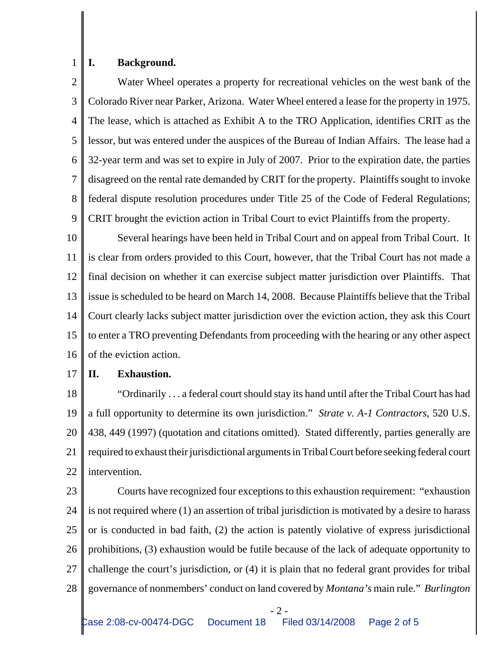## 1 **I. Background.**

2 3 4 5 6 7 8 9 Water Wheel operates a property for recreational vehicles on the west bank of the Colorado River near Parker, Arizona. Water Wheel entered a lease for the property in 1975. The lease, which is attached as Exhibit A to the TRO Application, identifies CRIT as the lessor, but was entered under the auspices of the Bureau of Indian Affairs. The lease had a 32-year term and was set to expire in July of 2007. Prior to the expiration date, the parties disagreed on the rental rate demanded by CRIT for the property. Plaintiffs sought to invoke federal dispute resolution procedures under Title 25 of the Code of Federal Regulations; CRIT brought the eviction action in Tribal Court to evict Plaintiffs from the property.

10 11 12 13 14 15 16 Several hearings have been held in Tribal Court and on appeal from Tribal Court. It is clear from orders provided to this Court, however, that the Tribal Court has not made a final decision on whether it can exercise subject matter jurisdiction over Plaintiffs. That issue is scheduled to be heard on March 14, 2008. Because Plaintiffs believe that the Tribal Court clearly lacks subject matter jurisdiction over the eviction action, they ask this Court to enter a TRO preventing Defendants from proceeding with the hearing or any other aspect of the eviction action.

## 17 **II. Exhaustion.**

18 19 20 21 22 "Ordinarily . . . a federal court should stay its hand until after the Tribal Court has had a full opportunity to determine its own jurisdiction." *Strate v. A-1 Contractors*, 520 U.S. 438, 449 (1997) (quotation and citations omitted). Stated differently, parties generally are required to exhaust their jurisdictional arguments in Tribal Court before seeking federal court intervention.

23 24 25 26 27 28 Courts have recognized four exceptions to this exhaustion requirement: "exhaustion is not required where (1) an assertion of tribal jurisdiction is motivated by a desire to harass or is conducted in bad faith, (2) the action is patently violative of express jurisdictional prohibitions, (3) exhaustion would be futile because of the lack of adequate opportunity to challenge the court's jurisdiction, or (4) it is plain that no federal grant provides for tribal governance of nonmembers' conduct on land covered by *Montana's* main rule." *Burlington*

- 2 - Case 2:08-cv-00474-DGC Document 18 Filed 03/14/2008 Page 2 of 5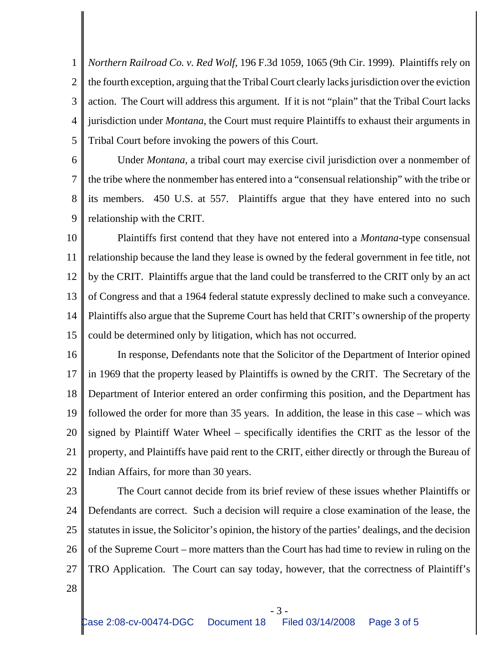1 2 3 4 5 *Northern Railroad Co. v. Red Wolf*, 196 F.3d 1059, 1065 (9th Cir. 1999). Plaintiffs rely on the fourth exception, arguing that the Tribal Court clearly lacks jurisdiction over the eviction action. The Court will address this argument. If it is not "plain" that the Tribal Court lacks jurisdiction under *Montana*, the Court must require Plaintiffs to exhaust their arguments in Tribal Court before invoking the powers of this Court.

6 7 8 9 Under *Montana*, a tribal court may exercise civil jurisdiction over a nonmember of the tribe where the nonmember has entered into a "consensual relationship" with the tribe or its members. 450 U.S. at 557. Plaintiffs argue that they have entered into no such relationship with the CRIT.

10 11 12 13 14 15 Plaintiffs first contend that they have not entered into a *Montana*-type consensual relationship because the land they lease is owned by the federal government in fee title, not by the CRIT. Plaintiffs argue that the land could be transferred to the CRIT only by an act of Congress and that a 1964 federal statute expressly declined to make such a conveyance. Plaintiffs also argue that the Supreme Court has held that CRIT's ownership of the property could be determined only by litigation, which has not occurred.

16 17 18 19 20 21 22 In response, Defendants note that the Solicitor of the Department of Interior opined in 1969 that the property leased by Plaintiffs is owned by the CRIT. The Secretary of the Department of Interior entered an order confirming this position, and the Department has followed the order for more than 35 years. In addition, the lease in this case – which was signed by Plaintiff Water Wheel – specifically identifies the CRIT as the lessor of the property, and Plaintiffs have paid rent to the CRIT, either directly or through the Bureau of Indian Affairs, for more than 30 years.

23

24 25 26 27 The Court cannot decide from its brief review of these issues whether Plaintiffs or Defendants are correct. Such a decision will require a close examination of the lease, the statutes in issue, the Solicitor's opinion, the history of the parties' dealings, and the decision of the Supreme Court – more matters than the Court has had time to review in ruling on the TRO Application. The Court can say today, however, that the correctness of Plaintiff's

28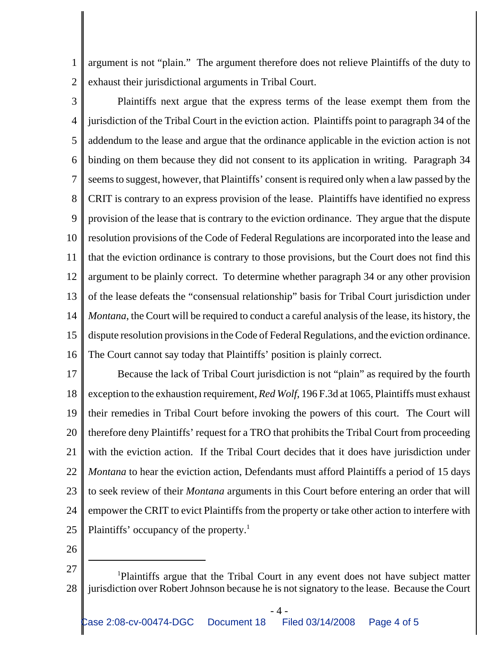1 2 argument is not "plain." The argument therefore does not relieve Plaintiffs of the duty to exhaust their jurisdictional arguments in Tribal Court.

3 4 5 6 7 8 9 10 11 12 13 14 15 16 Plaintiffs next argue that the express terms of the lease exempt them from the jurisdiction of the Tribal Court in the eviction action. Plaintiffs point to paragraph 34 of the addendum to the lease and argue that the ordinance applicable in the eviction action is not binding on them because they did not consent to its application in writing. Paragraph 34 seems to suggest, however, that Plaintiffs' consent is required only when a law passed by the CRIT is contrary to an express provision of the lease. Plaintiffs have identified no express provision of the lease that is contrary to the eviction ordinance. They argue that the dispute resolution provisions of the Code of Federal Regulations are incorporated into the lease and that the eviction ordinance is contrary to those provisions, but the Court does not find this argument to be plainly correct. To determine whether paragraph 34 or any other provision of the lease defeats the "consensual relationship" basis for Tribal Court jurisdiction under *Montana*, the Court will be required to conduct a careful analysis of the lease, its history, the dispute resolution provisions in the Code of Federal Regulations, and the eviction ordinance. The Court cannot say today that Plaintiffs' position is plainly correct.

17 18 19 20 21 22 23 24 25 Because the lack of Tribal Court jurisdiction is not "plain" as required by the fourth exception to the exhaustion requirement, *Red Wolf*, 196 F.3d at 1065, Plaintiffs must exhaust their remedies in Tribal Court before invoking the powers of this court. The Court will therefore deny Plaintiffs' request for a TRO that prohibits the Tribal Court from proceeding with the eviction action. If the Tribal Court decides that it does have jurisdiction under *Montana* to hear the eviction action, Defendants must afford Plaintiffs a period of 15 days to seek review of their *Montana* arguments in this Court before entering an order that will empower the CRIT to evict Plaintiffs from the property or take other action to interfere with Plaintiffs' occupancy of the property.<sup>1</sup>

26

- 4 -

<sup>27</sup> 28 1 Plaintiffs argue that the Tribal Court in any event does not have subject matter jurisdiction over Robert Johnson because he is not signatory to the lease. Because the Court